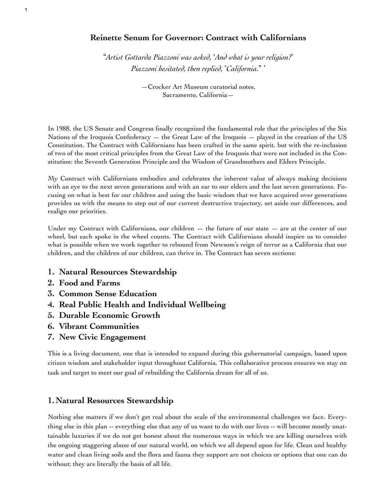# **Reinette Senum for Governor: Contract with Californians**

!*Artist Gottarda Piazzoni was asked,* "*And what is your religion?*#\$\$ *Piazzoni hesitated, then replied,* "*California.*%\$#

> —Crocker Art Museum curatorial notes, Sacramento, California—

In 1988, the US Senate and Congress finally recognized the fundamental role that the principles of the Six Nations of the Iroquois Confederacy  $-$  the Great Law of the Iroquois  $-$  played in the creation of the US Constitution. The Contract with Californians has been crafted in the same spirit, but with the re-inclusion of two of the most critical principles from the Great Law of the Iroquois that were not included in the Constitution: the Seventh Generation Principle and the Wisdom of Grandmothers and Elders Principle.

My Contract with Californians embodies and celebrates the inherent value of always making decisions with an eye to the next seven generations and with an ear to our elders and the last seven generations. Focusing on what is best for our children and using the basic wisdom that we have acquired over generations provides us with the means to step out of our current destructive trajectory, set aside our differences, and realign our priorities.

Under my Contract with Californians, our children  $-$  the future of our state  $-$  are at the center of our wheel, but each spoke in the wheel counts. The Contract with Californians should inspire us to consider what is possible when we work together to rebound from Newsom's reign of terror as a California that our children, and the children of our children, can thrive in. The Contract has seven sections:

- **1. Natural Resources Stewardship**
- **2. Food and Farms**
- **3. Common Sense Education**
- **4. Real Public Health and Individual Wellbeing**
- **5. Durable Economic Growth**
- **6. Vibrant Communities**
- **7. New Civic Engagement**

This is a living document, one that is intended to expand during this gubernatorial campaign, based upon citizen wisdom and stakeholder input throughout California. This collaborative process ensures we stay on task and target to meet our goal of rebuilding the California dream for all of us.

# **1.Natural Resources Stewardship**

Nothing else matters if we don't get real about the scale of the environmental challenges we face. Everything else in this plan -- everything else that any of us want to do with our lives -- will become mostly unattainable luxuries if we do not get honest about the numerous ways in which we are killing ourselves with the ongoing staggering abuse of our natural world, on which we all depend upon for life. Clean and healthy water and clean living soils and the flora and fauna they support are not choices or options that one can do without; they are literally the basis of all life.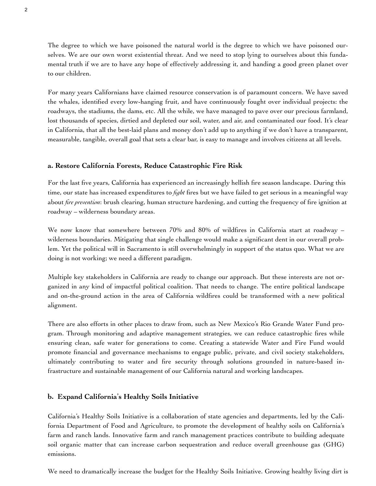The degree to which we have poisoned the natural world is the degree to which we have poisoned ourselves. We are our own worst existential threat. And we need to stop lying to ourselves about this fundamental truth if we are to have any hope of effectively addressing it, and handing a good green planet over to our children.

For many years Californians have claimed resource conservation is of paramount concern. We have saved the whales, identified every low-hanging fruit, and have continuously fought over individual projects: the roadways, the stadiums, the dams, etc. All the while, we have managed to pave over our precious farmland, lost thousands of species, dirtied and depleted our soil, water, and air, and contaminated our food. It's clear in California, that all the best-laid plans and money don't add up to anything if we don't have a transparent, measurable, tangible, overall goal that sets a clear bar, is easy to manage and involves citizens at all levels.

### **a. Restore California Forests, Reduce Catastrophic Fire Risk**

For the last five years, California has experienced an increasingly hellish fire season landscape. During this time, our state has increased expenditures to *fight* fires but we have failed to get serious in a meaningful way about *fire prevention*: brush clearing, human structure hardening, and cutting the frequency of fire ignition at roadway – wilderness boundary areas.

We now know that somewhere between 70% and 80% of wildfires in California start at roadway – wilderness boundaries. Mitigating that single challenge would make a significant dent in our overall problem. Yet the political will in Sacramento is still overwhelmingly in support of the status quo. What we are doing is not working; we need a different paradigm.

Multiple key stakeholders in California are ready to change our approach. But these interests are not organized in any kind of impactful political coalition. That needs to change. The entire political landscape and on-the-ground action in the area of California wildfires could be transformed with a new political alignment.

There are also efforts in other places to draw from, such as New Mexico's Rio Grande Water Fund program. Through monitoring and adaptive management strategies, we can reduce catastrophic fires while ensuring clean, safe water for generations to come. Creating a statewide Water and Fire Fund would promote financial and governance mechanisms to engage public, private, and civil society stakeholders, ultimately contributing to water and fire security through solutions grounded in nature-based infrastructure and sustainable management of our California natural and working landscapes.

### **b. Expand California**#**s Healthy Soils Initiative**

California's Healthy Soils Initiative is a collaboration of state agencies and departments, led by the California Department of Food and Agriculture, to promote the development of healthy soils on California's farm and ranch lands. Innovative farm and ranch management practices contribute to building adequate soil organic matter that can increase carbon sequestration and reduce overall greenhouse gas (GHG) emissions.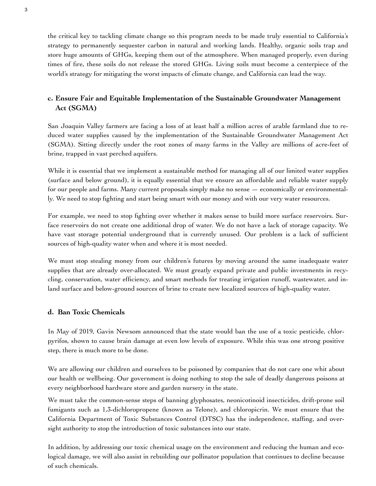the critical key to tackling climate change so this program needs to be made truly essential to California's strategy to permanently sequester carbon in natural and working lands. Healthy, organic soils trap and store huge amounts of GHGs, keeping them out of the atmosphere. When managed properly, even during times of fire, these soils do not release the stored GHGs. Living soils must become a centerpiece of the world's strategy for mitigating the worst impacts of climate change, and California can lead the way.

# **c. Ensure Fair and Equitable Implementation of the Sustainable Groundwater Management Act (SGMA)**

San Joaquin Valley farmers are facing a loss of at least half a million acres of arable farmland due to reduced water supplies caused by the implementation of the Sustainable Groundwater Management Act (SGMA). Sitting directly under the root zones of many farms in the Valley are millions of acre-feet of brine, trapped in vast perched aquifers.

While it is essential that we implement a sustainable method for managing all of our limited water supplies (surface and below ground), it is equally essential that we ensure an affordable and reliable water supply for our people and farms. Many current proposals simply make no sense — economically or environmentally. We need to stop fighting and start being smart with our money and with our very water resources.

For example, we need to stop fighting over whether it makes sense to build more surface reservoirs. Surface reservoirs do not create one additional drop of water. We do not have a lack of storage capacity. We have vast storage potential underground that is currently unused. Our problem is a lack of sufficient sources of high-quality water when and where it is most needed.

We must stop stealing money from our children's futures by moving around the same inadequate water supplies that are already over-allocated. We must greatly expand private and public investments in recycling, conservation, water efficiency, and smart methods for treating irrigation runoff, wastewater, and inland surface and below-ground sources of brine to create new localized sources of high-quality water.

## **d. Ban Toxic Chemicals**

In May of 2019, Gavin Newsom announced that the state would ban the use of a toxic pesticide, chlorpyrifos, shown to cause brain damage at even low levels of exposure. While this was one strong positive step, there is much more to be done.

We are allowing our children and ourselves to be poisoned by companies that do not care one whit about our health or wellbeing. Our government is doing nothing to stop the sale of deadly dangerous poisons at every neighborhood hardware store and garden nursery in the state.

We must take the common-sense steps of banning glyphosates, neonicotinoid insecticides, drift-prone soil fumigants such as 1,3-dichloropropene (known as Telone), and chloropicrin. We must ensure that the California Department of Toxic Substances Control (DTSC) has the independence, staffing, and oversight authority to stop the introduction of toxic substances into our state.

In addition, by addressing our toxic chemical usage on the environment and reducing the human and ecological damage, we will also assist in rebuilding our pollinator population that continues to decline because of such chemicals.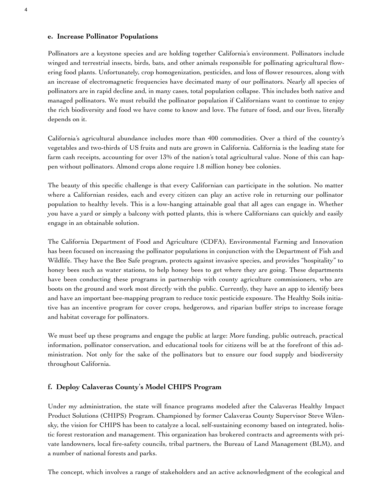### **e. Increase Pollinator Populations**

Pollinators are a keystone species and are holding together California's environment. Pollinators include winged and terrestrial insects, birds, bats, and other animals responsible for pollinating agricultural flowering food plants. Unfortunately, crop homogenization, pesticides, and loss of flower resources, along with an increase of electromagnetic frequencies have decimated many of our pollinators. Nearly all species of pollinators are in rapid decline and, in many cases, total population collapse. This includes both native and managed pollinators. We must rebuild the pollinator population if Californians want to continue to enjoy the rich biodiversity and food we have come to know and love. The future of food, and our lives, literally depends on it.

California's agricultural abundance includes more than 400 commodities. Over a third of the country's vegetables and two-thirds of US fruits and nuts are grown in California. California is the leading state for farm cash receipts, accounting for over 13% of the nation's total agricultural value. None of this can happen without pollinators. Almond crops alone require 1.8 million honey bee colonies.

The beauty of this specific challenge is that every Californian can participate in the solution. No matter where a Californian resides, each and every citizen can play an active role in returning our pollinator population to healthy levels. This is a low-hanging attainable goal that all ages can engage in. Whether you have a yard or simply a balcony with potted plants, this is where Californians can quickly and easily engage in an obtainable solution.

The California Department of Food and Agriculture (CDFA), Environmental Farming and Innovation has been focused on increasing the pollinator populations in conjunction with the Department of Fish and Wildlife. They have the Bee Safe program, protects against invasive species, and provides "hospitality" to honey bees such as water stations, to help honey bees to get where they are going. These departments have been conducting these programs in partnership with county agriculture commissioners, who are boots on the ground and work most directly with the public. Currently, they have an app to identify bees and have an important bee-mapping program to reduce toxic pesticide exposure. The Healthy Soils initiative has an incentive program for cover crops, hedgerows, and riparian buffer strips to increase forage and habitat coverage for pollinators.

We must beef up these programs and engage the public at large: More funding, public outreach, practical information, pollinator conservation, and educational tools for citizens will be at the forefront of this administration. Not only for the sake of the pollinators but to ensure our food supply and biodiversity throughout California.

## **f. Deploy Calaveras County**#**s Model CHIPS Program**

Under my administration, the state will finance programs modeled after the Calaveras Healthy Impact Product Solutions (CHIPS) Program. Championed by former Calaveras County Supervisor Steve Wilensky, the vision for CHIPS has been to catalyze a local, self-sustaining economy based on integrated, holistic forest restoration and management. This organization has brokered contracts and agreements with private landowners, local fire-safety councils, tribal partners, the Bureau of Land Management (BLM), and a number of national forests and parks.

The concept, which involves a range of stakeholders and an active acknowledgment of the ecological and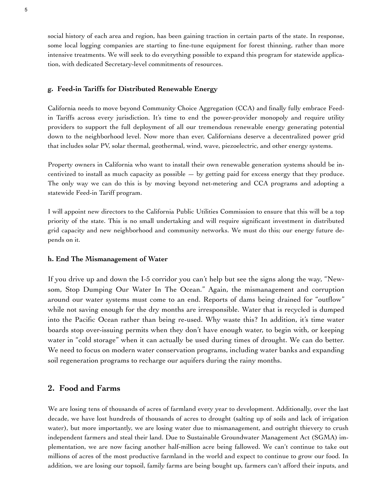social history of each area and region, has been gaining traction in certain parts of the state. In response, some local logging companies are starting to fine-tune equipment for forest thinning, rather than more intensive treatments. We will seek to do everything possible to expand this program for statewide application, with dedicated Secretary-level commitments of resources.

#### **g. Feed-in Tariffs for Distributed Renewable Energy**

California needs to move beyond Community Choice Aggregation (CCA) and finally fully embrace Feedin Tariffs across every jurisdiction. It's time to end the power-provider monopoly and require utility providers to support the full deployment of all our tremendous renewable energy generating potential down to the neighborhood level. Now more than ever, Californians deserve a decentralized power grid that includes solar PV, solar thermal, geothermal, wind, wave, piezoelectric, and other energy systems.

Property owners in California who want to install their own renewable generation systems should be incentivized to install as much capacity as possible  $-$  by getting paid for excess energy that they produce. The only way we can do this is by moving beyond net-metering and CCA programs and adopting a statewide Feed-in Tariff program.

I will appoint new directors to the California Public Utilities Commission to ensure that this will be a top priority of the state. This is no small undertaking and will require significant investment in distributed grid capacity and new neighborhood and community networks. We must do this; our energy future depends on it.

#### **h. End The Mismanagement of Water**

If you drive up and down the I-5 corridor you can't help but see the signs along the way, "Newsom, Stop Dumping Our Water In The Ocean." Again, the mismanagement and corruption around our water systems must come to an end. Reports of dams being drained for "outflow" while not saving enough for the dry months are irresponsible. Water that is recycled is dumped into the Pacific Ocean rather than being re-used. Why waste this? In addition, it's time water boards stop over-issuing permits when they don't have enough water, to begin with, or keeping water in "cold storage" when it can actually be used during times of drought. We can do better. We need to focus on modern water conservation programs, including water banks and expanding soil regeneration programs to recharge our aquifers during the rainy months.

# **2. Food and Farms**

We are losing tens of thousands of acres of farmland every year to development. Additionally, over the last decade, we have lost hundreds of thousands of acres to drought (salting up of soils and lack of irrigation water), but more importantly, we are losing water due to mismanagement, and outright thievery to crush independent farmers and steal their land. Due to Sustainable Groundwater Management Act (SGMA) implementation, we are now facing another half-million acre being fallowed. We can't continue to take out millions of acres of the most productive farmland in the world and expect to continue to grow our food. In addition, we are losing our topsoil, family farms are being bought up, farmers can't afford their inputs, and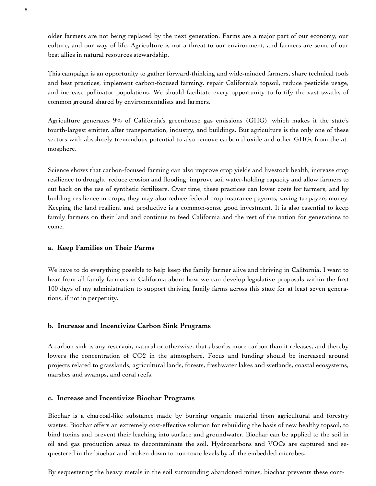older farmers are not being replaced by the next generation. Farms are a major part of our economy, our culture, and our way of life. Agriculture is not a threat to our environment, and farmers are some of our best allies in natural resources stewardship.

This campaign is an opportunity to gather forward-thinking and wide-minded farmers, share technical tools and best practices, implement carbon-focused farming, repair California's topsoil, reduce pesticide usage, and increase pollinator populations. We should facilitate every opportunity to fortify the vast swaths of common ground shared by environmentalists and farmers.

Agriculture generates 9% of California's greenhouse gas emissions (GHG), which makes it the state's fourth-largest emitter, after transportation, industry, and buildings. But agriculture is the only one of these sectors with absolutely tremendous potential to also remove carbon dioxide and other GHGs from the atmosphere.

Science shows that carbon-focused farming can also improve crop yields and livestock health, increase crop resilience to drought, reduce erosion and flooding, improve soil water-holding capacity and allow farmers to cut back on the use of synthetic fertilizers. Over time, these practices can lower costs for farmers, and by building resilience in crops, they may also reduce federal crop insurance payouts, saving taxpayers money. Keeping the land resilient and productive is a common-sense good investment. It is also essential to keep family farmers on their land and continue to feed California and the rest of the nation for generations to come.

### **a. Keep Families on Their Farms**

We have to do everything possible to help keep the family farmer alive and thriving in California. I want to hear from all family farmers in California about how we can develop legislative proposals within the first 100 days of my administration to support thriving family farms across this state for at least seven generations, if not in perpetuity.

## **b. Increase and Incentivize Carbon Sink Programs**

A carbon sink is any reservoir, natural or otherwise, that absorbs more carbon than it releases, and thereby lowers the concentration of CO2 in the atmosphere. Focus and funding should be increased around projects related to grasslands, agricultural lands, forests, freshwater lakes and wetlands, coastal ecosystems, marshes and swamps, and coral reefs.

### **c. Increase and Incentivize Biochar Programs**

Biochar is a charcoal-like substance made by burning organic material from agricultural and forestry wastes. Biochar offers an extremely cost-effective solution for rebuilding the basis of new healthy topsoil, to bind toxins and prevent their leaching into surface and groundwater. Biochar can be applied to the soil in oil and gas production areas to decontaminate the soil. Hydrocarbons and VOCs are captured and sequestered in the biochar and broken down to non-toxic levels by all the embedded microbes.

By sequestering the heavy metals in the soil surrounding abandoned mines, biochar prevents these cont-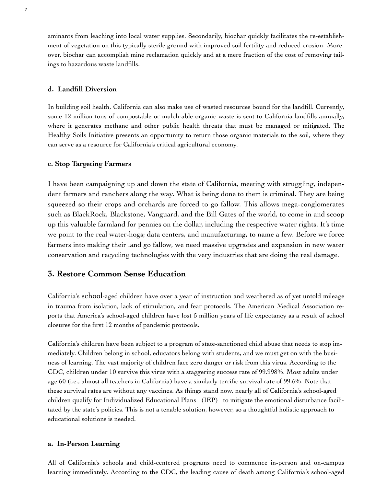aminants from leaching into local water supplies. Secondarily, biochar quickly facilitates the re-establishment of vegetation on this typically sterile ground with improved soil fertility and reduced erosion. Moreover, biochar can accomplish mine reclamation quickly and at a mere fraction of the cost of removing tailings to hazardous waste landfills.

### **d. Landfill Diversion**

In building soil health, California can also make use of wasted resources bound for the landfill. Currently, some 12 million tons of compostable or mulch-able organic waste is sent to California landfills annually, where it generates methane and other public health threats that must be managed or mitigated. The Healthy Soils Initiative presents an opportunity to return those organic materials to the soil, where they can serve as a resource for California's critical agricultural economy.

### **c. Stop Targeting Farmers**

I have been campaigning up and down the state of California, meeting with struggling, independent farmers and ranchers along the way. What is being done to them is criminal. They are being squeezed so their crops and orchards are forced to go fallow. This allows mega-conglomerates such as BlackRock, Blackstone, Vanguard, and the Bill Gates of the world, to come in and scoop up this valuable farmland for pennies on the dollar, including the respective water rights. It's time we point to the real water-hogs; data centers, and manufacturing, to name a few. Before we force farmers into making their land go fallow, we need massive upgrades and expansion in new water conservation and recycling technologies with the very industries that are doing the real damage.

## **3. Restore Common Sense Education**

California's school-aged children have over a year of instruction and weathered as of yet untold mileage in trauma from isolation, lack of stimulation, and fear protocols. The American Medical Association reports that America's school-aged children have lost 5 million years of life expectancy as a result of school closures for the first 12 months of pandemic protocols.

California's children have been subject to a program of state-sanctioned child abuse that needs to stop immediately. Children belong in school, educators belong with students, and we must get on with the business of learning. The vast majority of children face zero danger or risk from this virus. According to the CDC, children under 10 survive this virus with a staggering success rate of 99.998%. Most adults under age 60 (i.e., almost all teachers in California) have a similarly terrific survival rate of 99.6%. Note that these survival rates are without any vaccines. As things stand now, nearly all of California's school-aged children qualify for Individualized Educational Plans (IEP) to mitigate the emotional disturbance facilitated by the state's policies. This is not a tenable solution, however, so a thoughtful holistic approach to educational solutions is needed.

#### **a. In-Person Learning**

All of California's schools and child-centered programs need to commence in-person and on-campus learning immediately. According to the CDC, the leading cause of death among California's school-aged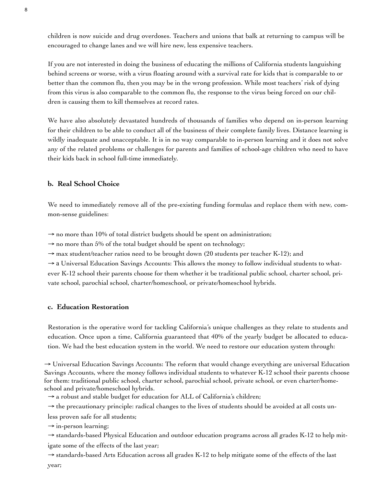children is now suicide and drug overdoses. Teachers and unions that balk at returning to campus will be encouraged to change lanes and we will hire new, less expensive teachers.

If you are not interested in doing the business of educating the millions of California students languishing behind screens or worse, with a virus floating around with a survival rate for kids that is comparable to or better than the common flu, then you may be in the wrong profession. While most teachers' risk of dying from this virus is also comparable to the common flu, the response to the virus being forced on our children is causing them to kill themselves at record rates.

We have also absolutely devastated hundreds of thousands of families who depend on in-person learning for their children to be able to conduct all of the business of their complete family lives. Distance learning is wildly inadequate and unacceptable. It is in no way comparable to in-person learning and it does not solve any of the related problems or challenges for parents and families of school-age children who need to have their kids back in school full-time immediately.

## **b. Real School Choice**

We need to immediately remove all of the pre-existing funding formulas and replace them with new, common-sense guidelines:

 $\rightarrow$  no more than 10% of total district budgets should be spent on administration;

 $\rightarrow$  no more than 5% of the total budget should be spent on technology;

 $\rightarrow$  max student/teacher ratios need to be brought down (20 students per teacher K-12); and

→ a Universal Education Savings Accounts: This allows the money to follow individual students to whatever K-12 school their parents choose for them whether it be traditional public school, charter school, private school, parochial school, charter/homeschool, or private/homeschool hybrids.

## **c. Education Restoration**

Restoration is the operative word for tackling California's unique challenges as they relate to students and education. Once upon a time, California guaranteed that 40% of the yearly budget be allocated to education. We had the best education system in the world. We need to restore our education system through:

 $\rightarrow$  Universal Education Savings Accounts: The reform that would change everything are universal Education Savings Accounts, where the money follows individual students to whatever K-12 school their parents choose for them: traditional public school, charter school, parochial school, private school, or even charter/homeschool and private/homeschool hybrids.

 $\rightarrow$  a robust and stable budget for education for ALL of California's children;

 $\rightarrow$  the precautionary principle: radical changes to the lives of students should be avoided at all costs un-

less proven safe for all students;

 $\rightarrow$  in-person learning;

→ standards-based Physical Education and outdoor education programs across all grades K-12 to help mitigate some of the effects of the last year;

 $\rightarrow$  standards-based Arts Education across all grades K-12 to help mitigate some of the effects of the last year;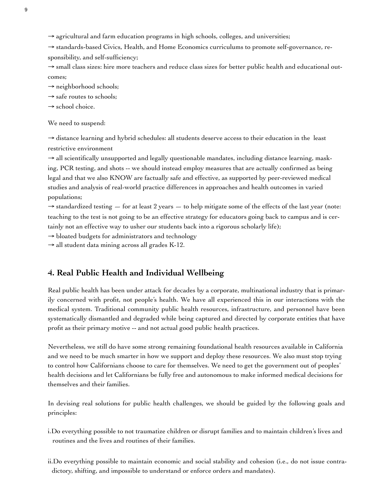$\rightarrow$  agricultural and farm education programs in high schools, colleges, and universities;

→ standards-based Civics, Health, and Home Economics curriculums to promote self-governance, responsibility, and self-sufficiency;

→ small class sizes: hire more teachers and reduce class sizes for better public health and educational outcomes;

 $\rightarrow$  neighborhood schools;

 $\rightarrow$  safe routes to schools;

 $\rightarrow$  school choice.

We need to suspend:

 $\rightarrow$  distance learning and hybrid schedules: all students deserve access to their education in the least restrictive environment

→ all scientifically unsupported and legally questionable mandates, including distance learning, masking, PCR testing, and shots -- we should instead employ measures that are actually confirmed as being legal and that we also KNOW are factually safe and effective, as supported by peer-reviewed medical studies and analysis of real-world practice differences in approaches and health outcomes in varied populations;

 $\rightarrow$  standardized testing  $-$  for at least 2 years  $-$  to help mitigate some of the effects of the last year (note: teaching to the test is not going to be an effective strategy for educators going back to campus and is certainly not an effective way to usher our students back into a rigorous scholarly life);

 $\rightarrow$  bloated budgets for administrators and technology

 $\rightarrow$  all student data mining across all grades K-12.

# **4. Real Public Health and Individual Wellbeing**

Real public health has been under attack for decades by a corporate, multinational industry that is primarily concerned with profit, not people's health. We have all experienced this in our interactions with the medical system. Traditional community public health resources, infrastructure, and personnel have been systematically dismantled and degraded while being captured and directed by corporate entities that have profit as their primary motive -- and not actual good public health practices.

Nevertheless, we still do have some strong remaining foundational health resources available in California and we need to be much smarter in how we support and deploy these resources. We also must stop trying to control how Californians choose to care for themselves. We need to get the government out of peoples' health decisions and let Californians be fully free and autonomous to make informed medical decisions for themselves and their families.

In devising real solutions for public health challenges, we should be guided by the following goals and principles:

- i.Do everything possible to not traumatize children or disrupt families and to maintain children's lives and routines and the lives and routines of their families.
- ii.Do everything possible to maintain economic and social stability and cohesion (i.e., do not issue contradictory, shifting, and impossible to understand or enforce orders and mandates).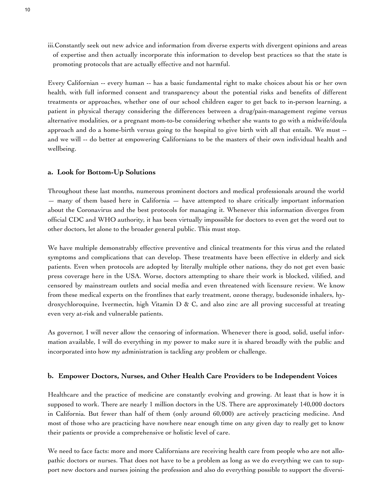iii.Constantly seek out new advice and information from diverse experts with divergent opinions and areas of expertise and then actually incorporate this information to develop best practices so that the state is promoting protocols that are actually effective and not harmful.

Every Californian -- every human -- has a basic fundamental right to make choices about his or her own health, with full informed consent and transparency about the potential risks and benefits of different treatments or approaches, whether one of our school children eager to get back to in-person learning, a patient in physical therapy considering the differences between a drug/pain-management regime versus alternative modalities, or a pregnant mom-to-be considering whether she wants to go with a midwife/doula approach and do a home-birth versus going to the hospital to give birth with all that entails. We must - and we will -- do better at empowering Californians to be the masters of their own individual health and wellbeing.

#### **a. Look for Bottom-Up Solutions**

Throughout these last months, numerous prominent doctors and medical professionals around the world — many of them based here in California — have attempted to share critically important information about the Coronavirus and the best protocols for managing it. Whenever this information diverges from official CDC and WHO authority, it has been virtually impossible for doctors to even get the word out to other doctors, let alone to the broader general public. This must stop.

We have multiple demonstrably effective preventive and clinical treatments for this virus and the related symptoms and complications that can develop. These treatments have been effective in elderly and sick patients. Even when protocols are adopted by literally multiple other nations, they do not get even basic press coverage here in the USA. Worse, doctors attempting to share their work is blocked, vilified, and censored by mainstream outlets and social media and even threatened with licensure review. We know from these medical experts on the frontlines that early treatment, ozone therapy, budesonide inhalers, hydroxychloroquine, Ivermectin, high Vitamin D & C, and also zinc are all proving successful at treating even very at-risk and vulnerable patients.

As governor, I will never allow the censoring of information. Whenever there is good, solid, useful information available, I will do everything in my power to make sure it is shared broadly with the public and incorporated into how my administration is tackling any problem or challenge.

#### **b. Empower Doctors, Nurses, and Other Health Care Providers to be Independent Voices**

Healthcare and the practice of medicine are constantly evolving and growing. At least that is how it is supposed to work. There are nearly 1 million doctors in the US. There are approximately 140,000 doctors in California. But fewer than half of them (only around 60,000) are actively practicing medicine. And most of those who are practicing have nowhere near enough time on any given day to really get to know their patients or provide a comprehensive or holistic level of care.

We need to face facts: more and more Californians are receiving health care from people who are not allopathic doctors or nurses. That does not have to be a problem as long as we do everything we can to support new doctors and nurses joining the profession and also do everything possible to support the diversi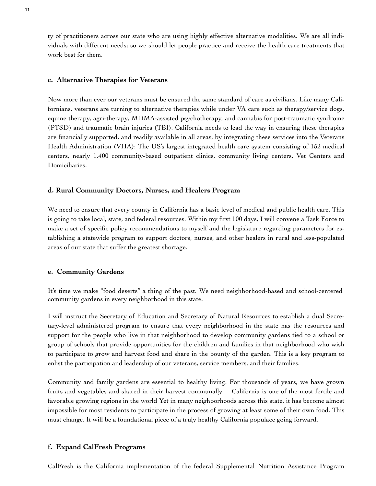ty of practitioners across our state who are using highly effective alternative modalities. We are all individuals with different needs; so we should let people practice and receive the health care treatments that work best for them.

#### **c. Alternative Therapies for Veterans**

Now more than ever our veterans must be ensured the same standard of care as civilians. Like many Californians, veterans are turning to alternative therapies while under VA care such as therapy/service dogs, equine therapy, agri-therapy, MDMA-assisted psychotherapy, and cannabis for post-traumatic syndrome (PTSD) and traumatic brain injuries (TBI). California needs to lead the way in ensuring these therapies are financially supported, and readily available in all areas, by integrating these services into the Veterans Health Administration (VHA): The US's largest integrated health care system consisting of 152 medical centers, nearly 1,400 community-based outpatient clinics, community living centers, Vet Centers and Domiciliaries.

#### **d. Rural Community Doctors, Nurses, and Healers Program**

We need to ensure that every county in California has a basic level of medical and public health care. This is going to take local, state, and federal resources. Within my first 100 days, I will convene a Task Force to make a set of specific policy recommendations to myself and the legislature regarding parameters for establishing a statewide program to support doctors, nurses, and other healers in rural and less-populated areas of our state that suffer the greatest shortage.

#### **e. Community Gardens**

It's time we make "food deserts" a thing of the past. We need neighborhood-based and school-centered community gardens in every neighborhood in this state.

I will instruct the Secretary of Education and Secretary of Natural Resources to establish a dual Secretary-level administered program to ensure that every neighborhood in the state has the resources and support for the people who live in that neighborhood to develop community gardens tied to a school or group of schools that provide opportunities for the children and families in that neighborhood who wish to participate to grow and harvest food and share in the bounty of the garden. This is a key program to enlist the participation and leadership of our veterans, service members, and their families.

Community and family gardens are essential to healthy living. For thousands of years, we have grown fruits and vegetables and shared in their harvest communally. California is one of the most fertile and favorable growing regions in the world Yet in many neighborhoods across this state, it has become almost impossible for most residents to participate in the process of growing at least some of their own food. This must change. It will be a foundational piece of a truly healthy California populace going forward.

#### **f. Expand CalFresh Programs**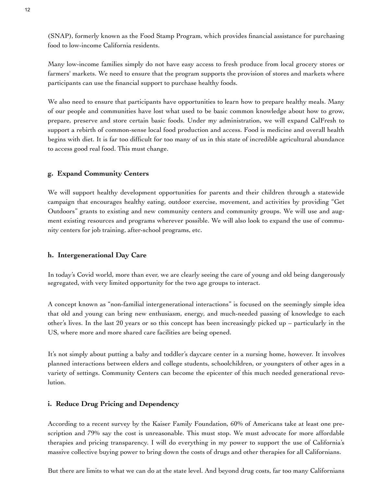(SNAP), formerly known as the Food Stamp Program, which provides financial assistance for purchasing food to low-income California residents.

Many low-income families simply do not have easy access to fresh produce from local grocery stores or farmers' markets. We need to ensure that the program supports the provision of stores and markets where participants can use the financial support to purchase healthy foods.

We also need to ensure that participants have opportunities to learn how to prepare healthy meals. Many of our people and communities have lost what used to be basic common knowledge about how to grow, prepare, preserve and store certain basic foods. Under my administration, we will expand CalFresh to support a rebirth of common-sense local food production and access. Food is medicine and overall health begins with diet. It is far too difficult for too many of us in this state of incredible agricultural abundance to access good real food. This must change.

### **g. Expand Community Centers**

We will support healthy development opportunities for parents and their children through a statewide campaign that encourages healthy eating, outdoor exercise, movement, and activities by providing "Get Outdoors" grants to existing and new community centers and community groups. We will use and augment existing resources and programs wherever possible. We will also look to expand the use of community centers for job training, after-school programs, etc.

### **h. Intergenerational Day Care**

In today's Covid world, more than ever, we are clearly seeing the care of young and old being dangerously segregated, with very limited opportunity for the two age groups to interact.

A concept known as "non-familial intergenerational interactions" is focused on the seemingly simple idea that old and young can bring new enthusiasm, energy, and much-needed passing of knowledge to each other's lives. In the last 20 years or so this concept has been increasingly picked up – particularly in the US, where more and more shared care facilities are being opened.

It's not simply about putting a baby and toddler's daycare center in a nursing home, however. It involves planned interactions between elders and college students, schoolchildren, or youngsters of other ages in a variety of settings. Community Centers can become the epicenter of this much needed generational revolution.

### **i. Reduce Drug Pricing and Dependency**

According to a recent survey by the Kaiser Family Foundation, 60% of Americans take at least one prescription and 79% say the cost is unreasonable. This must stop. We must advocate for more affordable therapies and pricing transparency. I will do everything in my power to support the use of California's massive collective buying power to bring down the costs of drugs and other therapies for all Californians.

But there are limits to what we can do at the state level. And beyond drug costs, far too many Californians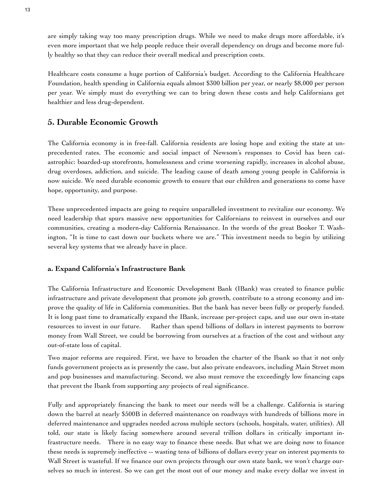are simply taking way too many prescription drugs. While we need to make drugs more affordable, it's even more important that we help people reduce their overall dependency on drugs and become more fully healthy so that they can reduce their overall medical and prescription costs.

Healthcare costs consume a huge portion of California's budget. According to the California Healthcare Foundation, health spending in California equals almost \$300 billion per year, or nearly \$8,000 per person per year. We simply must do everything we can to bring down these costs and help Californians get healthier and less drug-dependent.

# **5. Durable Economic Growth**

The California economy is in free-fall. California residents are losing hope and exiting the state at unprecedented rates. The economic and social impact of Newsom's responses to Covid has been catastrophic: boarded-up storefronts, homelessness and crime worsening rapidly, increases in alcohol abuse, drug overdoses, addiction, and suicide. The leading cause of death among young people in California is now suicide. We need durable economic growth to ensure that our children and generations to come have hope, opportunity, and purpose.

These unprecedented impacts are going to require unparalleled investment to revitalize our economy. We need leadership that spurs massive new opportunities for Californians to reinvest in ourselves and our communities, creating a modern-day California Renaissance. In the words of the great Booker T. Washington, "It is time to cast down our buckets where we are." This investment needs to begin by utilizing several key systems that we already have in place.

## **a. Expand California**#**s Infrastructure Bank**

The California Infrastructure and Economic Development Bank (IBank) was created to finance public infrastructure and private development that promote job growth, contribute to a strong economy and improve the quality of life in California communities. But the bank has never been fully or properly funded. It is long past time to dramatically expand the IBank, increase per-project caps, and use our own in-state resources to invest in our future. Rather than spend billions of dollars in interest payments to borrow money from Wall Street, we could be borrowing from ourselves at a fraction of the cost and without any out-of-state loss of capital.

Two major reforms are required. First, we have to broaden the charter of the Ibank so that it not only funds government projects as is presently the case, but also private endeavors, including Main Street mom and pop businesses and manufacturing. Second, we also must remove the exceedingly low financing caps that prevent the Ibank from supporting any projects of real significance.

Fully and appropriately financing the bank to meet our needs will be a challenge. California is staring down the barrel at nearly \$500B in deferred maintenance on roadways with hundreds of billions more in deferred maintenance and upgrades needed across multiple sectors (schools, hospitals, water, utilities). All told, our state is likely facing somewhere around several trillion dollars in critically important infrastructure needs. There is no easy way to finance these needs. But what we are doing now to finance these needs is supremely ineffective -- wasting tens of billions of dollars every year on interest payments to Wall Street is wasteful. If we finance our own projects through our own state bank, we won't charge ourselves so much in interest. So we can get the most out of our money and make every dollar we invest in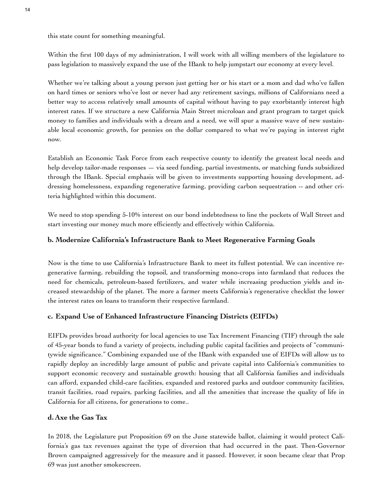this state count for something meaningful.

Within the first 100 days of my administration, I will work with all willing members of the legislature to pass legislation to massively expand the use of the IBank to help jumpstart our economy at every level.

Whether we're talking about a young person just getting her or his start or a mom and dad who've fallen on hard times or seniors who've lost or never had any retirement savings, millions of Californians need a better way to access relatively small amounts of capital without having to pay exorbitantly interest high interest rates. If we structure a new California Main Street microloan and grant program to target quick money to families and individuals with a dream and a need, we will spur a massive wave of new sustainable local economic growth, for pennies on the dollar compared to what we're paying in interest right now.

Establish an Economic Task Force from each respective county to identify the greatest local needs and help develop tailor-made responses — via seed funding, partial investments, or matching funds subsidized through the IBank. Special emphasis will be given to investments supporting housing development, addressing homelessness, expanding regenerative farming, providing carbon sequestration -- and other criteria highlighted within this document.

We need to stop spending 5-10% interest on our bond indebtedness to line the pockets of Wall Street and start investing our money much more efficiently and effectively within California.

# **b. Modernize California's Infrastructure Bank to Meet Regenerative Farming Goals**

Now is the time to use California's Infrastructure Bank to meet its fullest potential. We can incentive regenerative farming, rebuilding the topsoil, and transforming mono-crops into farmland that reduces the need for chemicals, petroleum-based fertilizers, and water while increasing production yields and increased stewardship of the planet. The more a farmer meets California's regenerative checklist the lower the interest rates on loans to transform their respective farmland.

# **c. Expand Use of Enhanced Infrastructure Financing Districts (EIFDs)**

EIFDs provides broad authority for local agencies to use Tax Increment Financing (TIF) through the sale of 45-year bonds to fund a variety of projects, including public capital facilities and projects of "communitywide significance." Combining expanded use of the IBank with expanded use of EIFDs will allow us to rapidly deploy an incredibly large amount of public and private capital into California's communities to support economic recovery and sustainable growth: housing that all California families and individuals can afford, expanded child-care facilities, expanded and restored parks and outdoor community facilities, transit facilities, road repairs, parking facilities, and all the amenities that increase the quality of life in California for all citizens, for generations to come..

## **d. Axe the Gas Tax**

In 2018, the Legislature put Proposition 69 on the June statewide ballot, claiming it would protect California's gas tax revenues against the type of diversion that had occurred in the past. Then-Governor Brown campaigned aggressively for the measure and it passed. However, it soon became clear that Prop 69 was just another smokescreen.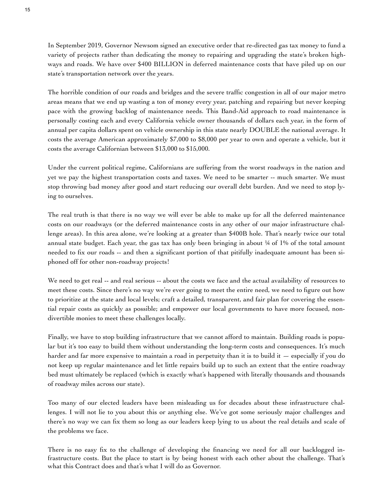In September 2019, Governor Newsom signed an executive order that re-directed gas tax money to fund a variety of projects rather than dedicating the money to repairing and upgrading the state's broken highways and roads. We have over \$400 BILLION in deferred maintenance costs that have piled up on our state's transportation network over the years.

The horrible condition of our roads and bridges and the severe traffic congestion in all of our major metro areas means that we end up wasting a ton of money every year, patching and repairing but never keeping pace with the growing backlog of maintenance needs. This Band-Aid approach to road maintenance is personally costing each and every California vehicle owner thousands of dollars each year, in the form of annual per capita dollars spent on vehicle ownership in this state nearly DOUBLE the national average. It costs the average American approximately \$7,000 to \$8,000 per year to own and operate a vehicle, but it costs the average Californian between \$13,000 to \$15,000.

Under the current political regime, Californians are suffering from the worst roadways in the nation and yet we pay the highest transportation costs and taxes. We need to be smarter -- much smarter. We must stop throwing bad money after good and start reducing our overall debt burden. And we need to stop lying to ourselves.

The real truth is that there is no way we will ever be able to make up for all the deferred maintenance costs on our roadways (or the deferred maintenance costs in any other of our major infrastructure challenge areas). In this area alone, we're looking at a greater than \$400B hole. That's nearly twice our total annual state budget. Each year, the gas tax has only been bringing in about ¼ of 1% of the total amount needed to fix our roads -- and then a significant portion of that pitifully inadequate amount has been siphoned off for other non-roadway projects!

We need to get real -- and real serious -- about the costs we face and the actual availability of resources to meet these costs. Since there's no way we're ever going to meet the entire need, we need to figure out how to prioritize at the state and local levels; craft a detailed, transparent, and fair plan for covering the essential repair costs as quickly as possible; and empower our local governments to have more focused, nondivertible monies to meet these challenges locally.

Finally, we have to stop building infrastructure that we cannot afford to maintain. Building roads is popular but it's too easy to build them without understanding the long-term costs and consequences. It's much harder and far more expensive to maintain a road in perpetuity than it is to build it — especially if you do not keep up regular maintenance and let little repairs build up to such an extent that the entire roadway bed must ultimately be replaced (which is exactly what's happened with literally thousands and thousands of roadway miles across our state).

Too many of our elected leaders have been misleading us for decades about these infrastructure challenges. I will not lie to you about this or anything else. We've got some seriously major challenges and there's no way we can fix them so long as our leaders keep lying to us about the real details and scale of the problems we face.

There is no easy fix to the challenge of developing the financing we need for all our backlogged infrastructure costs. But the place to start is by being honest with each other about the challenge. That's what this Contract does and that's what I will do as Governor.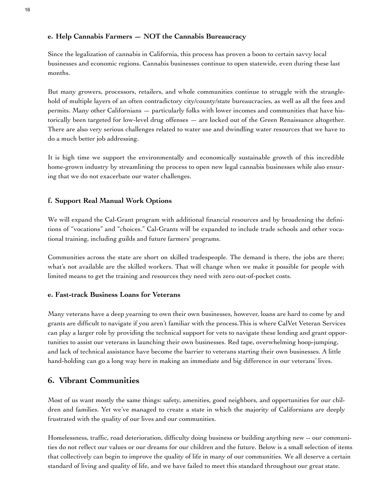## **e. Help Cannabis Farmers — NOT the Cannabis Bureaucracy**

Since the legalization of cannabis in California, this process has proven a boon to certain savvy local businesses and economic regions. Cannabis businesses continue to open statewide, even during these last months.

But many growers, processors, retailers, and whole communities continue to struggle with the stranglehold of multiple layers of an often contradictory city/county/state bureaucracies, as well as all the fees and permits. Many other Californians — particularly folks with lower incomes and communities that have historically been targeted for low-level drug offenses — are locked out of the Green Renaissance altogether. There are also very serious challenges related to water use and dwindling water resources that we have to do a much better job addressing.

It is high time we support the environmentally and economically sustainable growth of this incredible home-grown industry by streamlining the process to open new legal cannabis businesses while also ensuring that we do not exacerbate our water challenges.

# **f. Support Real Manual Work Options**

We will expand the Cal-Grant program with additional financial resources and by broadening the definitions of "vocations" and "choices." Cal-Grants will be expanded to include trade schools and other vocational training, including guilds and future farmers' programs.

Communities across the state are short on skilled tradespeople. The demand is there, the jobs are there; what's not available are the skilled workers. That will change when we make it possible for people with limited means to get the training and resources they need with zero out-of-pocket costs.

## **e. Fast-track Business Loans for Veterans**

Many veterans have a deep yearning to own their own businesses, however, loans are hard to come by and grants are difficult to navigate if you aren't familiar with the process.This is where CalVet Veteran Services can play a larger role by providing the technical support for vets to navigate these lending and grant opportunities to assist our veterans in launching their own businesses. Red tape, overwhelming hoop-jumping, and lack of technical assistance have become the barrier to veterans starting their own businesses. A little hand-holding can go a long way here in making an immediate and big difference in our veterans' lives.

# **6. Vibrant Communities**

Most of us want mostly the same things: safety, amenities, good neighbors, and opportunities for our children and families. Yet we've managed to create a state in which the majority of Californians are deeply frustrated with the quality of our lives and our communities.

Homelessness, traffic, road deterioration, difficulty doing business or building anything new -- our communities do not reflect our values or our dreams for our children and the future. Below is a small selection of items that collectively can begin to improve the quality of life in many of our communities. We all deserve a certain standard of living and quality of life, and we have failed to meet this standard throughout our great state.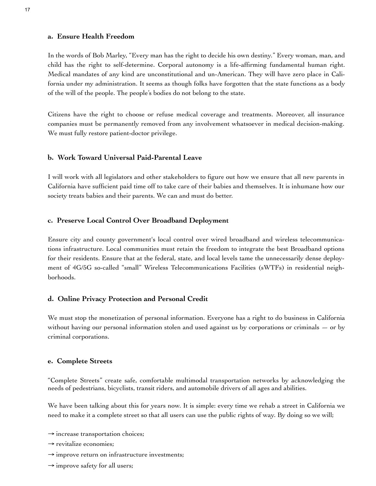#### **a. Ensure Health Freedom**

In the words of Bob Marley, "Every man has the right to decide his own destiny." Every woman, man, and child has the right to self-determine. Corporal autonomy is a life-affirming fundamental human right. Medical mandates of any kind are unconstitutional and un-American. They will have zero place in California under my administration. It seems as though folks have forgotten that the state functions as a body of the will of the people. The people's bodies do not belong to the state.

Citizens have the right to choose or refuse medical coverage and treatments. Moreover, all insurance companies must be permanently removed from any involvement whatsoever in medical decision-making. We must fully restore patient-doctor privilege.

### **b. Work Toward Universal Paid-Parental Leave**

I will work with all legislators and other stakeholders to figure out how we ensure that all new parents in California have sufficient paid time off to take care of their babies and themselves. It is inhumane how our society treats babies and their parents. We can and must do better.

### **c. Preserve Local Control Over Broadband Deployment**

Ensure city and county government's local control over wired broadband and wireless telecommunications infrastructure. Local communities must retain the freedom to integrate the best Broadband options for their residents. Ensure that at the federal, state, and local levels tame the unnecessarily dense deployment of 4G/5G so-called "small" Wireless Telecommunications Facilities (sWTFs) in residential neighborhoods.

### **d. Online Privacy Protection and Personal Credit**

We must stop the monetization of personal information. Everyone has a right to do business in California without having our personal information stolen and used against us by corporations or criminals  $-$  or by criminal corporations.

### **e. Complete Streets**

"Complete Streets" create safe, comfortable multimodal transportation networks by acknowledging the needs of pedestrians, bicyclists, transit riders, and automobile drivers of all ages and abilities.

We have been talking about this for years now. It is simple: every time we rehab a street in California we need to make it a complete street so that all users can use the public rights of way. By doing so we will;

- $\rightarrow$  increase transportation choices;
- $\rightarrow$  revitalize economies;
- $\rightarrow$  improve return on infrastructure investments;
- $\rightarrow$  improve safety for all users;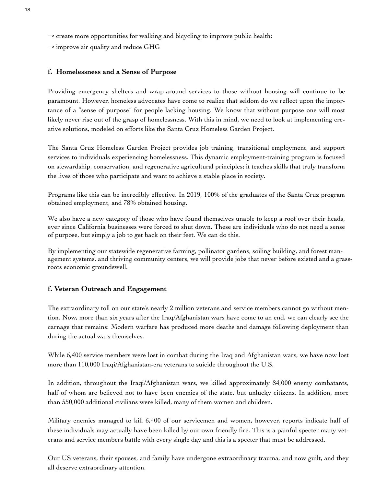- $\rightarrow$  create more opportunities for walking and bicycling to improve public health;
- $\rightarrow$  improve air quality and reduce GHG

### **f. Homelessness and a Sense of Purpose**

Providing emergency shelters and wrap-around services to those without housing will continue to be paramount. However, homeless advocates have come to realize that seldom do we reflect upon the importance of a "sense of purpose" for people lacking housing. We know that without purpose one will most likely never rise out of the grasp of homelessness. With this in mind, we need to look at implementing creative solutions, modeled on efforts like the Santa Cruz Homeless Garden Project.

The Santa Cruz Homeless Garden Project provides job training, transitional employment, and support services to individuals experiencing homelessness. This dynamic employment-training program is focused on stewardship, conservation, and regenerative agricultural principles; it teaches skills that truly transform the lives of those who participate and want to achieve a stable place in society.

Programs like this can be incredibly effective. In 2019, 100% of the graduates of the Santa Cruz program obtained employment, and 78% obtained housing.

We also have a new category of those who have found themselves unable to keep a roof over their heads, ever since California businesses were forced to shut down. These are individuals who do not need a sense of purpose, but simply a job to get back on their feet. We can do this.

By implementing our statewide regenerative farming, pollinator gardens, soiling building, and forest management systems, and thriving community centers, we will provide jobs that never before existed and a grassroots economic groundswell.

### **f. Veteran Outreach and Engagement**

The extraordinary toll on our state's nearly 2 million veterans and service members cannot go without mention. Now, more than six years after the Iraq/Afghanistan wars have come to an end, we can clearly see the carnage that remains: Modern warfare has produced more deaths and damage following deployment than during the actual wars themselves.

While 6,400 service members were lost in combat during the Iraq and Afghanistan wars, we have now lost more than 110,000 Iraqi/Afghanistan-era veterans to suicide throughout the U.S.

In addition, throughout the Iraqi/Afghanistan wars, we killed approximately 84,000 enemy combatants, half of whom are believed not to have been enemies of the state, but unlucky citizens. In addition, more than 550,000 additional civilians were killed, many of them women and children.

Military enemies managed to kill 6,400 of our servicemen and women, however, reports indicate half of these individuals may actually have been killed by our own friendly fire. This is a painful specter many veterans and service members battle with every single day and this is a specter that must be addressed.

Our US veterans, their spouses, and family have undergone extraordinary trauma, and now guilt, and they all deserve extraordinary attention.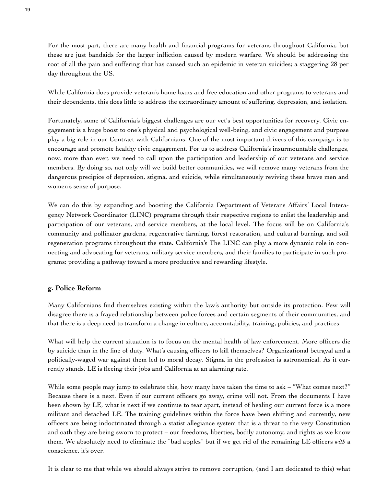For the most part, there are many health and financial programs for veterans throughout California, but these are just bandaids for the larger infliction caused by modern warfare. We should be addressing the root of all the pain and suffering that has caused such an epidemic in veteran suicides; a staggering 28 per day throughout the US.

While California does provide veteran's home loans and free education and other programs to veterans and their dependents, this does little to address the extraordinary amount of suffering, depression, and isolation.

Fortunately, some of California's biggest challenges are our vet's best opportunities for recovery. Civic engagement is a huge boost to one's physical and psychological well-being, and civic engagement and purpose play a big role in our Contract with Californians. One of the most important drivers of this campaign is to encourage and promote healthy civic engagement. For us to address California's insurmountable challenges, now, more than ever, we need to call upon the participation and leadership of our veterans and service members. By doing so, not only will we build better communities, we will remove many veterans from the dangerous precipice of depression, stigma, and suicide, while simultaneously reviving these brave men and women's sense of purpose.

We can do this by expanding and boosting the California Department of Veterans Affairs' Local Interagency Network Coordinator (LINC) programs through their respective regions to enlist the leadership and participation of our veterans, and service members, at the local level. The focus will be on California's community and pollinator gardens, regenerative farming, forest restoration, and cultural burning, and soil regeneration programs throughout the state. California's The LINC can play a more dynamic role in connecting and advocating for veterans, military service members, and their families to participate in such programs; providing a pathway toward a more productive and rewarding lifestyle.

### **g. Police Reform**

Many Californians find themselves existing within the law's authority but outside its protection. Few will disagree there is a frayed relationship between police forces and certain segments of their communities, and that there is a deep need to transform a change in culture, accountability, training, policies, and practices.

What will help the current situation is to focus on the mental health of law enforcement. More officers die by suicide than in the line of duty. What's causing officers to kill themselves? Organizational betrayal and a politically-waged war against them led to moral decay. Stigma in the profession is astronomical. As it currently stands, LE is fleeing their jobs and California at an alarming rate.

While some people may jump to celebrate this, how many have taken the time to ask – "What comes next?" Because there is a next. Even if our current officers go away, crime will not. From the documents I have been shown by LE, what is next if we continue to tear apart, instead of healing our current force is a more militant and detached LE. The training guidelines within the force have been shifting and currently, new officers are being indoctrinated through a statist allegiance system that is a threat to the very Constitution and oath they are being sworn to protect – our freedoms, liberties, bodily autonomy, and rights as we know them. We absolutely need to eliminate the "bad apples" but if we get rid of the remaining LE officers *with* a conscience, it's over.

It is clear to me that while we should always strive to remove corruption, (and I am dedicated to this) what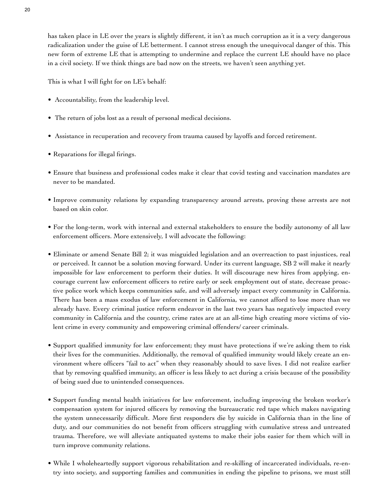has taken place in LE over the years is slightly different, it isn't as much corruption as it is a very dangerous radicalization under the guise of LE betterment. I cannot stress enough the unequivocal danger of this. This new form of extreme LE that is attempting to undermine and replace the current LE should have no place in a civil society. If we think things are bad now on the streets, we haven't seen anything yet.

This is what I will fight for on LE's behalf:

- Accountability, from the leadership level.
- The return of jobs lost as a result of personal medical decisions.
- Assistance in recuperation and recovery from trauma caused by layoffs and forced retirement.
- Reparations for illegal firings.
- Ensure that business and professional codes make it clear that covid testing and vaccination mandates are never to be mandated.
- Improve community relations by expanding transparency around arrests, proving these arrests are not based on skin color.
- For the long-term, work with internal and external stakeholders to ensure the bodily autonomy of all law enforcement officers. More extensively, I will advocate the following:
- Eliminate or amend Senate Bill 2; it was misguided legislation and an overreaction to past injustices, real or perceived. It cannot be a solution moving forward. Under its current language, SB 2 will make it nearly impossible for law enforcement to perform their duties. It will discourage new hires from applying, encourage current law enforcement officers to retire early or seek employment out of state, decrease proactive police work which keeps communities safe, and will adversely impact every community in California. There has been a mass exodus of law enforcement in California, we cannot afford to lose more than we already have. Every criminal justice reform endeavor in the last two years has negatively impacted every community in California and the country, crime rates are at an all-time high creating more victims of violent crime in every community and empowering criminal offenders/ career criminals.
- Support qualified immunity for law enforcement; they must have protections if we're asking them to risk their lives for the communities. Additionally, the removal of qualified immunity would likely create an environment where officers "fail to act" when they reasonably should to save lives. I did not realize earlier that by removing qualified immunity, an officer is less likely to act during a crisis because of the possibility of being sued due to unintended consequences.
- Support funding mental health initiatives for law enforcement, including improving the broken worker's compensation system for injured officers by removing the bureaucratic red tape which makes navigating the system unnecessarily difficult. More first responders die by suicide in California than in the line of duty, and our communities do not benefit from officers struggling with cumulative stress and untreated trauma. Therefore, we will alleviate antiquated systems to make their jobs easier for them which will in turn improve community relations.
- While I wholeheartedly support vigorous rehabilitation and re-skilling of incarcerated individuals, re-entry into society, and supporting families and communities in ending the pipeline to prisons, we must still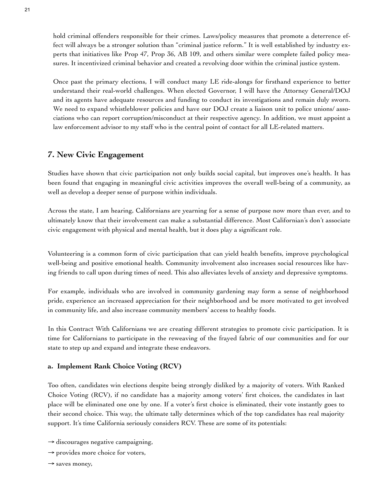hold criminal offenders responsible for their crimes. Laws/policy measures that promote a deterrence effect will always be a stronger solution than "criminal justice reform." It is well established by industry experts that initiatives like Prop 47, Prop 36, AB 109, and others similar were complete failed policy measures. It incentivized criminal behavior and created a revolving door within the criminal justice system.

Once past the primary elections, I will conduct many LE ride-alongs for firsthand experience to better understand their real-world challenges. When elected Governor, I will have the Attorney General/DOJ and its agents have adequate resources and funding to conduct its investigations and remain duly sworn. We need to expand whistleblower policies and have our DOJ create a liaison unit to police unions/ associations who can report corruption/misconduct at their respective agency. In addition, we must appoint a law enforcement advisor to my staff who is the central point of contact for all LE-related matters.

# **7. New Civic Engagement**

Studies have shown that civic participation not only builds social capital, but improves one's health. It has been found that engaging in meaningful civic activities improves the overall well-being of a community, as well as develop a deeper sense of purpose within individuals.

Across the state, I am hearing, Californians are yearning for a sense of purpose now more than ever, and to ultimately know that their involvement can make a substantial difference. Most Californian's don't associate civic engagement with physical and mental health, but it does play a significant role.

Volunteering is a common form of civic participation that can yield health benefits, improve psychological well-being and positive emotional health. Community involvement also increases social resources like having friends to call upon during times of need. This also alleviates levels of anxiety and depressive symptoms.

For example, individuals who are involved in community gardening may form a sense of neighborhood pride, experience an increased appreciation for their neighborhood and be more motivated to get involved in community life, and also increase community members' access to healthy foods.

In this Contract With Californians we are creating different strategies to promote civic participation. It is time for Californians to participate in the reweaving of the frayed fabric of our communities and for our state to step up and expand and integrate these endeavors.

### **a. Implement Rank Choice Voting (RCV)**

Too often, candidates win elections despite being strongly disliked by a majority of voters. With Ranked Choice Voting (RCV), if no candidate has a majority among voters' first choices, the candidates in last place will be eliminated one one by one. If a voter's first choice is eliminated, their vote instantly goes to their second choice. This way, the ultimate tally determines which of the top candidates has real majority support. It's time California seriously considers RCV. These are some of its potentials:

- $\rightarrow$  discourages negative campaigning,
- $\rightarrow$  provides more choice for voters,
- $\rightarrow$  saves money,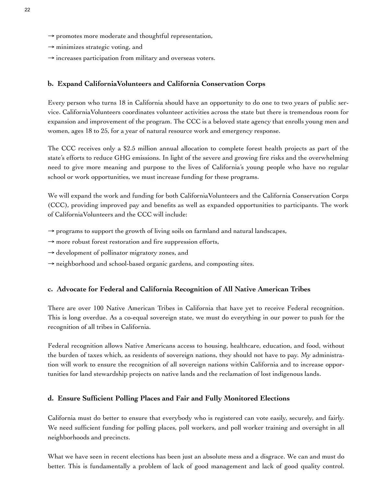- $\rightarrow$  promotes more moderate and thoughtful representation,
- $\rightarrow$  minimizes strategic voting, and
- $\rightarrow$  increases participation from military and overseas voters.

### **b. Expand CaliforniaVolunteers and California Conservation Corps**

Every person who turns 18 in California should have an opportunity to do one to two years of public service. CaliforniaVolunteers coordinates volunteer activities across the state but there is tremendous room for expansion and improvement of the program. The CCC is a beloved state agency that enrolls young men and women, ages 18 to 25, for a year of natural resource work and emergency response.

The CCC receives only a \$2.5 million annual allocation to complete forest health projects as part of the state's efforts to reduce GHG emissions. In light of the severe and growing fire risks and the overwhelming need to give more meaning and purpose to the lives of California's young people who have no regular school or work opportunities, we must increase funding for these programs.

We will expand the work and funding for both CaliforniaVolunteers and the California Conservation Corps (CCC), providing improved pay and benefits as well as expanded opportunities to participants. The work of CaliforniaVolunteers and the CCC will include:

- $\rightarrow$  programs to support the growth of living soils on farmland and natural landscapes,
- $\rightarrow$  more robust forest restoration and fire suppression efforts,
- $\rightarrow$  development of pollinator migratory zones, and
- → neighborhood and school-based organic gardens, and composting sites.

## **c. Advocate for Federal and California Recognition of All Native American Tribes**

There are over 100 Native American Tribes in California that have yet to receive Federal recognition. This is long overdue. As a co-equal sovereign state, we must do everything in our power to push for the recognition of all tribes in California.

Federal recognition allows Native Americans access to housing, healthcare, education, and food, without the burden of taxes which, as residents of sovereign nations, they should not have to pay. My administration will work to ensure the recognition of all sovereign nations within California and to increase opportunities for land stewardship projects on native lands and the reclamation of lost indigenous lands.

## **d. Ensure Sufficient Polling Places and Fair and Fully Monitored Elections**

California must do better to ensure that everybody who is registered can vote easily, securely, and fairly. We need sufficient funding for polling places, poll workers, and poll worker training and oversight in all neighborhoods and precincts.

What we have seen in recent elections has been just an absolute mess and a disgrace. We can and must do better. This is fundamentally a problem of lack of good management and lack of good quality control.